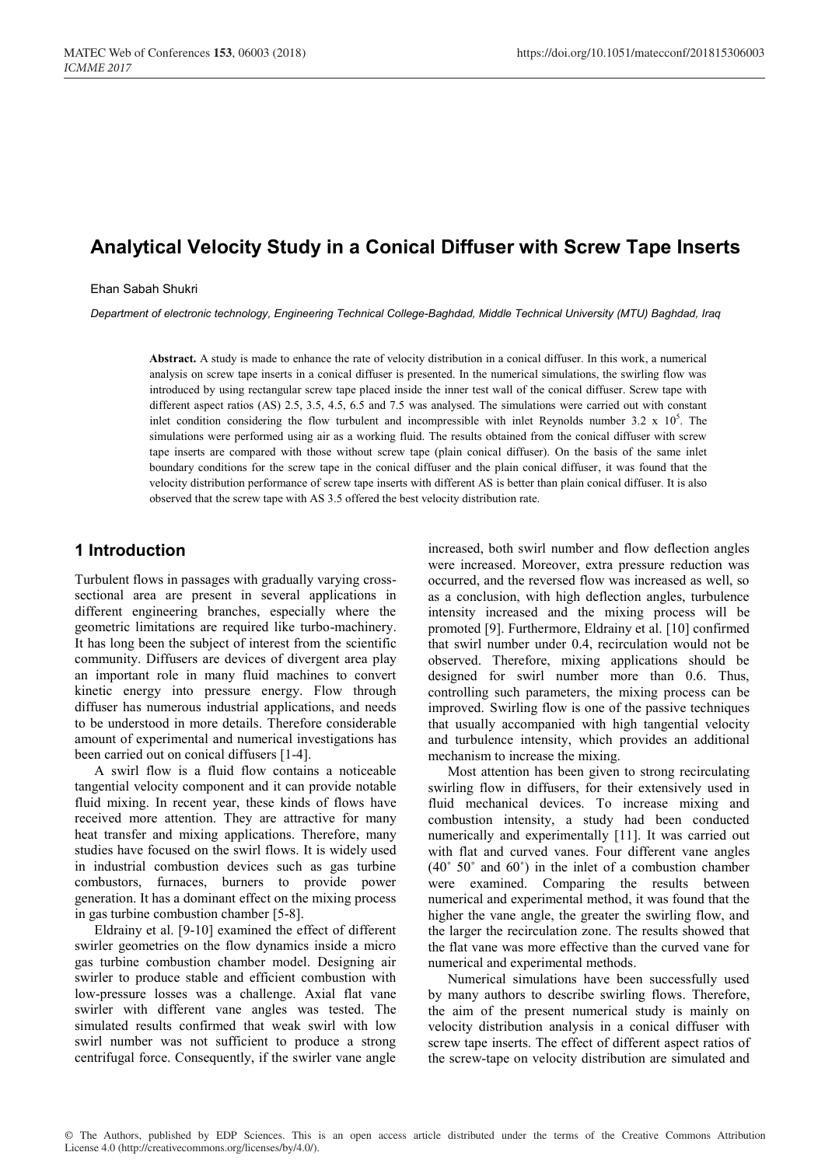# **Analytical Velocity Study in a Conical Diffuser with Screw Tape Inserts**

Ehan Sabah Shukri

*Department of electronic technology, Engineering Technical College-Baghdad, Middle Technical University (MTU) Baghdad, Iraq*

**Abstract.** A study is made to enhance the rate of velocity distribution in a conical diffuser. In this work, a numerical analysis on screw tape inserts in a conical diffuser is presented. In the numerical simulations, the swirling flow was introduced by using rectangular screw tape placed inside the inner test wall of the conical diffuser. Screw tape with different aspect ratios (AS) 2.5, 3.5, 4.5, 6.5 and 7.5 was analysed. The simulations were carried out with constant inlet condition considering the flow turbulent and incompressible with inlet Reynolds number 3.2 x  $10^5$ . The simulations were performed using air as a working fluid. The results obtained from the conical diffuser with screw tape inserts are compared with those without screw tape (plain conical diffuser). On the basis of the same inlet boundary conditions for the screw tape in the conical diffuser and the plain conical diffuser, it was found that the velocity distribution performance of screw tape inserts with different AS is better than plain conical diffuser. It is also observed that the screw tape with AS 3.5 offered the best velocity distribution rate.

#### **1 Introduction**

Turbulent flows in passages with gradually varying crosssectional area are present in several applications in different engineering branches, especially where the geometric limitations are required like turbo-machinery. It has long been the subject of interest from the scientific community. Diffusers are devices of divergent area play an important role in many fluid machines to convert kinetic energy into pressure energy. Flow through diffuser has numerous industrial applications, and needs to be understood in more details. Therefore considerable amount of experimental and numerical investigations has been carried out on conical diffusers [1-4].

A swirl flow is a fluid flow contains a noticeable tangential velocity component and it can provide notable fluid mixing. In recent year, these kinds of flows have received more attention. They are attractive for many heat transfer and mixing applications. Therefore, many studies have focused on the swirl flows. It is widely used in industrial combustion devices such as gas turbine combustors, furnaces, burners to provide power generation. It has a dominant effect on the mixing process in gas turbine combustion chamber [5-8].

Eldrainy et al. [9-10] examined the effect of different swirler geometries on the flow dynamics inside a micro gas turbine combustion chamber model. Designing air swirler to produce stable and efficient combustion with low-pressure losses was a challenge. Axial flat vane swirler with different vane angles was tested. The simulated results confirmed that weak swirl with low swirl number was not sufficient to produce a strong centrifugal force. Consequently, if the swirler vane angle

increased, both swirl number and flow deflection angles were increased. Moreover, extra pressure reduction was occurred, and the reversed flow was increased as well, so as a conclusion, with high deflection angles, turbulence intensity increased and the mixing process will be promoted [9]. Furthermore, Eldrainy et al. [10] confirmed that swirl number under 0.4, recirculation would not be observed. Therefore, mixing applications should be designed for swirl number more than 0.6. Thus, controlling such parameters, the mixing process can be improved. Swirling flow is one of the passive techniques that usually accompanied with high tangential velocity and turbulence intensity, which provides an additional mechanism to increase the mixing.

Most attention has been given to strong recirculating swirling flow in diffusers, for their extensively used in fluid mechanical devices. To increase mixing and combustion intensity, a study had been conducted numerically and experimentally [11]. It was carried out with flat and curved vanes. Four different vane angles (40˚ 50˚ and 60˚) in the inlet of a combustion chamber were examined. Comparing the results between numerical and experimental method, it was found that the higher the vane angle, the greater the swirling flow, and the larger the recirculation zone. The results showed that the flat vane was more effective than the curved vane for numerical and experimental methods.

Numerical simulations have been successfully used by many authors to describe swirling flows. Therefore, the aim of the present numerical study is mainly on velocity distribution analysis in a conical diffuser with screw tape inserts. The effect of different aspect ratios of the screw-tape on velocity distribution are simulated and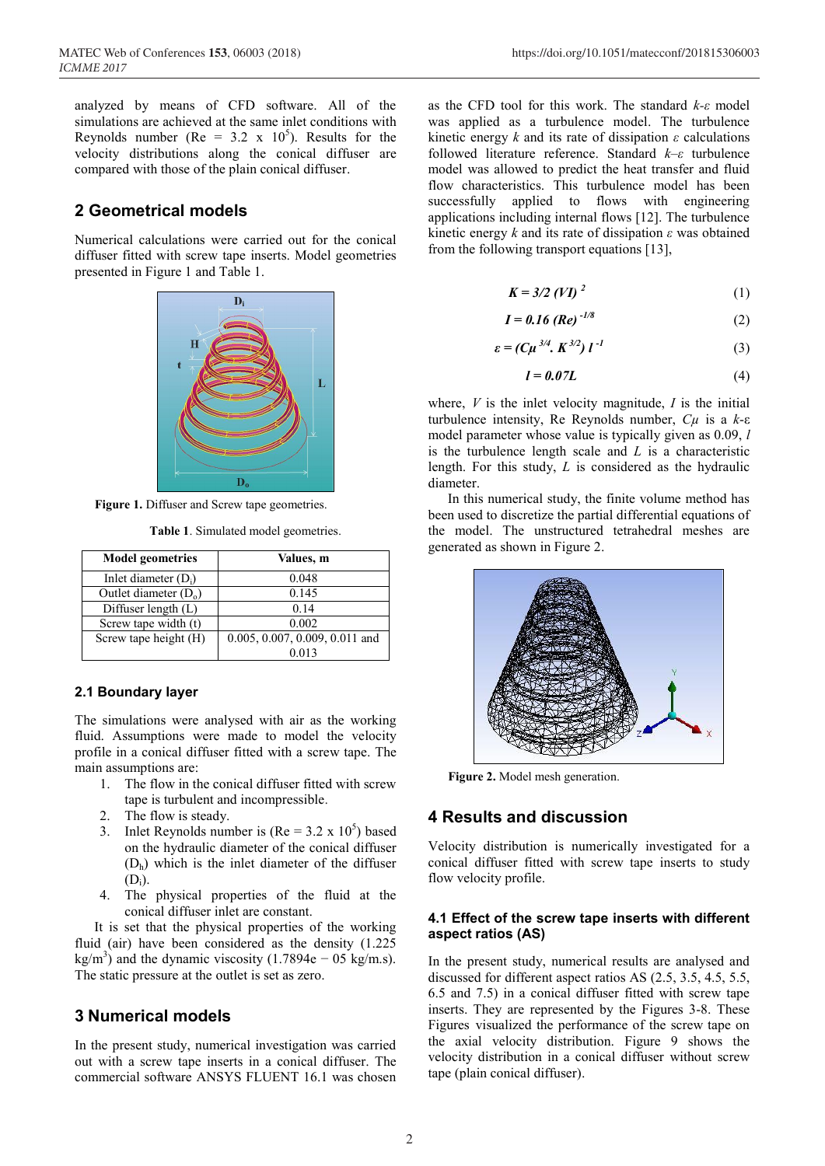analyzed by means of CFD software. All of the simulations are achieved at the same inlet conditions with Reynolds number (Re =  $3.2 \times 10^5$ ). Results for the velocity distributions along the conical diffuser are compared with those of the plain conical diffuser.

#### **2 Geometrical models**

Numerical calculations were carried out for the conical diffuser fitted with screw tape inserts. Model geometries presented in Figure 1 and Table 1.



**Figure 1.** Diffuser and Screw tape geometries.

**Table 1**. Simulated model geometries.

| <b>Model geometries</b> | Values, m                        |
|-------------------------|----------------------------------|
| Inlet diameter $(D_i)$  | 0.048                            |
| Outlet diameter $(D_0)$ | 0.145                            |
| Diffuser length (L)     | 0.14                             |
| Screw tape width (t)    | 0.002                            |
| Screw tape height (H)   | $0.005, 0.007, 0.009, 0.011$ and |
|                         | 0.013                            |

#### **2.1 Boundary layer**

The simulations were analysed with air as the working fluid. Assumptions were made to model the velocity profile in a conical diffuser fitted with a screw tape. The main assumptions are:

- 1. The flow in the conical diffuser fitted with screw tape is turbulent and incompressible.
- 2. The flow is steady.<br>3. Inlet Revnolds num
- 3. Inlet Reynolds number is  $(Re = 3.2 \times 10^5)$  based on the hydraulic diameter of the conical diffuser  $(D<sub>b</sub>)$  which is the inlet diameter of the diffuser (Di).
- 4. The physical properties of the fluid at the conical diffuser inlet are constant.

It is set that the physical properties of the working fluid (air) have been considered as the density (1.225 kg/m<sup>3</sup>) and the dynamic viscosity (1.7894e – 05 kg/m.s). The static pressure at the outlet is set as zero.

### **3 Numerical models**

In the present study, numerical investigation was carried out with a screw tape inserts in a conical diffuser. The commercial software ANSYS FLUENT 16.1 was chosen as the CFD tool for this work. The standard *k-ε* model was applied as a turbulence model. The turbulence kinetic energy  $k$  and its rate of dissipation  $\varepsilon$  calculations followed literature reference. Standard *k–ε* turbulence model was allowed to predict the heat transfer and fluid flow characteristics. This turbulence model has been successfully applied to flows with engineering applications including internal flows [12]. The turbulence kinetic energy *k* and its rate of dissipation *ε* was obtained from the following transport equations [13],

$$
K = 3/2 (VI)^{2}
$$
 (1)

$$
I = 0.16 \ (Re)^{-1/8} \tag{2}
$$

$$
\varepsilon = (C\mu^{3/4}, K^{3/2}) l^{-1}
$$
 (3)

$$
l = 0.07L \tag{4}
$$

where, *V* is the inlet velocity magnitude, *I* is the initial turbulence intensity, Re Reynolds number, *Cµ* is a *k*-ε model parameter whose value is typically given as 0.09, *l* is the turbulence length scale and *L* is a characteristic length. For this study, *L* is considered as the hydraulic diameter.

In this numerical study, the finite volume method has been used to discretize the partial differential equations of the model. The unstructured tetrahedral meshes are generated as shown in Figure 2.



**Figure 2.** Model mesh generation.

### **4 Results and discussion**

Velocity distribution is numerically investigated for a conical diffuser fitted with screw tape inserts to study flow velocity profile.

#### **4.1 Effect of the screw tape inserts with different aspect ratios (AS)**

In the present study, numerical results are analysed and discussed for different aspect ratios AS (2.5, 3.5, 4.5, 5.5, 6.5 and 7.5) in a conical diffuser fitted with screw tape inserts. They are represented by the Figures 3-8. These Figures visualized the performance of the screw tape on the axial velocity distribution. Figure 9 shows the velocity distribution in a conical diffuser without screw tape (plain conical diffuser).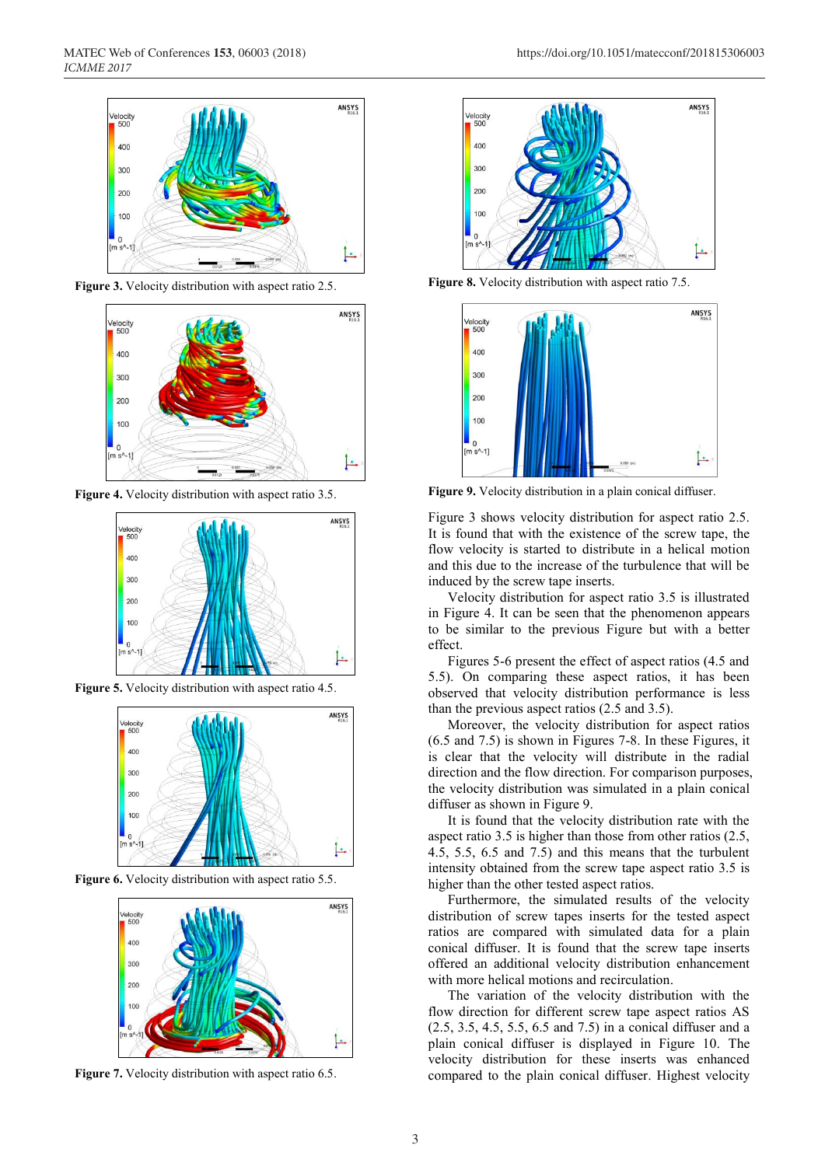

**Figure 3.** Velocity distribution with aspect ratio 2.5.



**Figure 4.** Velocity distribution with aspect ratio 3.5.



**Figure 5.** Velocity distribution with aspect ratio 4.5.



**Figure 6.** Velocity distribution with aspect ratio 5.5.



**Figure 7.** Velocity distribution with aspect ratio 6.5.



**Figure 8.** Velocity distribution with aspect ratio 7.5.



**Figure 9.** Velocity distribution in a plain conical diffuser.

Figure 3 shows velocity distribution for aspect ratio 2.5. It is found that with the existence of the screw tape, the flow velocity is started to distribute in a helical motion and this due to the increase of the turbulence that will be induced by the screw tape inserts.

Velocity distribution for aspect ratio 3.5 is illustrated in Figure 4. It can be seen that the phenomenon appears to be similar to the previous Figure but with a better effect.

Figures 5-6 present the effect of aspect ratios (4.5 and 5.5). On comparing these aspect ratios, it has been observed that velocity distribution performance is less than the previous aspect ratios (2.5 and 3.5).

Moreover, the velocity distribution for aspect ratios (6.5 and 7.5) is shown in Figures 7-8. In these Figures, it is clear that the velocity will distribute in the radial direction and the flow direction. For comparison purposes, the velocity distribution was simulated in a plain conical diffuser as shown in Figure 9.

It is found that the velocity distribution rate with the aspect ratio 3.5 is higher than those from other ratios (2.5, 4.5, 5.5, 6.5 and 7.5) and this means that the turbulent intensity obtained from the screw tape aspect ratio 3.5 is higher than the other tested aspect ratios.

Furthermore, the simulated results of the velocity distribution of screw tapes inserts for the tested aspect ratios are compared with simulated data for a plain conical diffuser. It is found that the screw tape inserts offered an additional velocity distribution enhancement with more helical motions and recirculation.

The variation of the velocity distribution with the flow direction for different screw tape aspect ratios AS (2.5, 3.5, 4.5, 5.5, 6.5 and 7.5) in a conical diffuser and a plain conical diffuser is displayed in Figure 10. The velocity distribution for these inserts was enhanced compared to the plain conical diffuser. Highest velocity